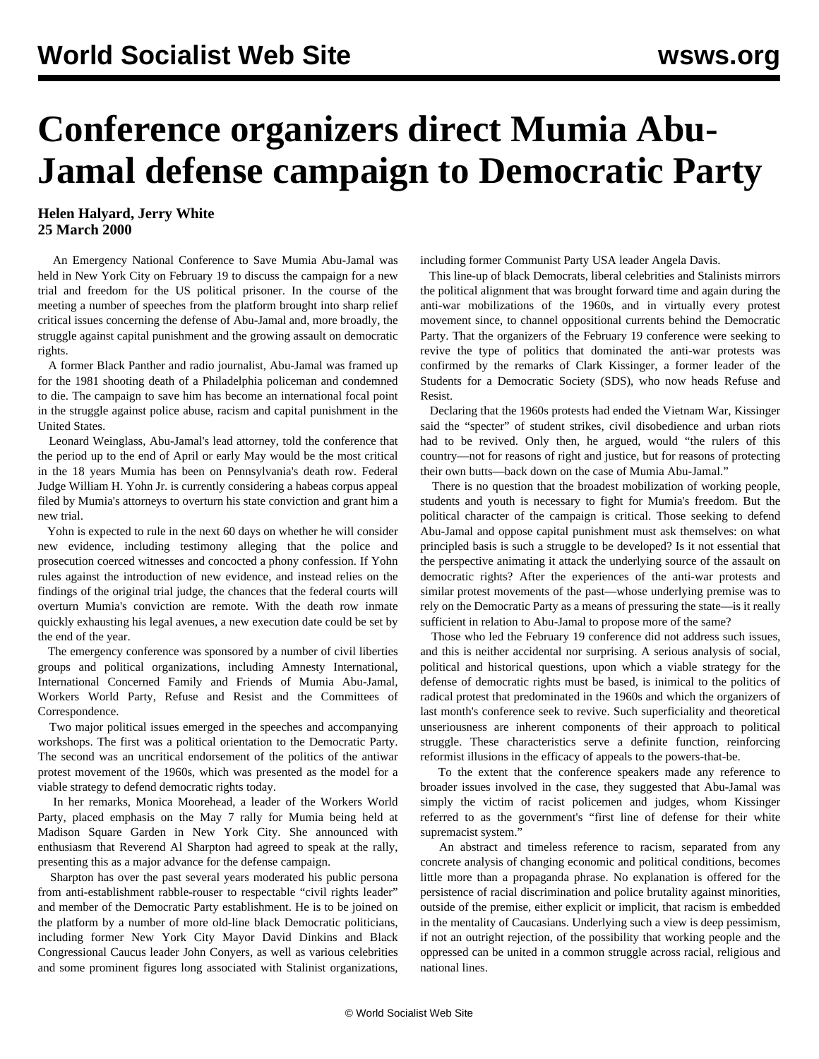## **Conference organizers direct Mumia Abu-Jamal defense campaign to Democratic Party**

**Helen Halyard, Jerry White 25 March 2000**

 An Emergency National Conference to Save Mumia Abu-Jamal was held in New York City on February 19 to discuss the campaign for a new trial and freedom for the US political prisoner. In the course of the meeting a number of speeches from the platform brought into sharp relief critical issues concerning the defense of Abu-Jamal and, more broadly, the struggle against capital punishment and the growing assault on democratic rights.

 A former Black Panther and radio journalist, Abu-Jamal was framed up for the 1981 shooting death of a Philadelphia policeman and condemned to die. The campaign to save him has become an international focal point in the struggle against police abuse, racism and capital punishment in the United States.

 Leonard Weinglass, Abu-Jamal's lead attorney, told the conference that the period up to the end of April or early May would be the most critical in the 18 years Mumia has been on Pennsylvania's death row. Federal Judge William H. Yohn Jr. is currently considering a habeas corpus appeal filed by Mumia's attorneys to overturn his state conviction and grant him a new trial.

 Yohn is expected to rule in the next 60 days on whether he will consider new evidence, including testimony alleging that the police and prosecution coerced witnesses and concocted a phony confession. If Yohn rules against the introduction of new evidence, and instead relies on the findings of the original trial judge, the chances that the federal courts will overturn Mumia's conviction are remote. With the death row inmate quickly exhausting his legal avenues, a new execution date could be set by the end of the year.

 The emergency conference was sponsored by a number of civil liberties groups and political organizations, including Amnesty International, International Concerned Family and Friends of Mumia Abu-Jamal, Workers World Party, Refuse and Resist and the Committees of Correspondence.

 Two major political issues emerged in the speeches and accompanying workshops. The first was a political orientation to the Democratic Party. The second was an uncritical endorsement of the politics of the antiwar protest movement of the 1960s, which was presented as the model for a viable strategy to defend democratic rights today.

 In her remarks, Monica Moorehead, a leader of the Workers World Party, placed emphasis on the May 7 rally for Mumia being held at Madison Square Garden in New York City. She announced with enthusiasm that Reverend Al Sharpton had agreed to speak at the rally, presenting this as a major advance for the defense campaign.

 Sharpton has over the past several years moderated his public persona from anti-establishment rabble-rouser to respectable "civil rights leader" and member of the Democratic Party establishment. He is to be joined on the platform by a number of more old-line black Democratic politicians, including former New York City Mayor David Dinkins and Black Congressional Caucus leader John Conyers, as well as various celebrities and some prominent figures long associated with Stalinist organizations,

including former Communist Party USA leader Angela Davis.

 This line-up of black Democrats, liberal celebrities and Stalinists mirrors the political alignment that was brought forward time and again during the anti-war mobilizations of the 1960s, and in virtually every protest movement since, to channel oppositional currents behind the Democratic Party. That the organizers of the February 19 conference were seeking to revive the type of politics that dominated the anti-war protests was confirmed by the remarks of Clark Kissinger, a former leader of the Students for a Democratic Society (SDS), who now heads Refuse and Resist.

 Declaring that the 1960s protests had ended the Vietnam War, Kissinger said the "specter" of student strikes, civil disobedience and urban riots had to be revived. Only then, he argued, would "the rulers of this country—not for reasons of right and justice, but for reasons of protecting their own butts—back down on the case of Mumia Abu-Jamal."

 There is no question that the broadest mobilization of working people, students and youth is necessary to fight for Mumia's freedom. But the political character of the campaign is critical. Those seeking to defend Abu-Jamal and oppose capital punishment must ask themselves: on what principled basis is such a struggle to be developed? Is it not essential that the perspective animating it attack the underlying source of the assault on democratic rights? After the experiences of the anti-war protests and similar protest movements of the past—whose underlying premise was to rely on the Democratic Party as a means of pressuring the state—is it really sufficient in relation to Abu-Jamal to propose more of the same?

 Those who led the February 19 conference did not address such issues, and this is neither accidental nor surprising. A serious analysis of social, political and historical questions, upon which a viable strategy for the defense of democratic rights must be based, is inimical to the politics of radical protest that predominated in the 1960s and which the organizers of last month's conference seek to revive. Such superficiality and theoretical unseriousness are inherent components of their approach to political struggle. These characteristics serve a definite function, reinforcing reformist illusions in the efficacy of appeals to the powers-that-be.

 To the extent that the conference speakers made any reference to broader issues involved in the case, they suggested that Abu-Jamal was simply the victim of racist policemen and judges, whom Kissinger referred to as the government's "first line of defense for their white supremacist system."

 An abstract and timeless reference to racism, separated from any concrete analysis of changing economic and political conditions, becomes little more than a propaganda phrase. No explanation is offered for the persistence of racial discrimination and police brutality against minorities, outside of the premise, either explicit or implicit, that racism is embedded in the mentality of Caucasians. Underlying such a view is deep pessimism, if not an outright rejection, of the possibility that working people and the oppressed can be united in a common struggle across racial, religious and national lines.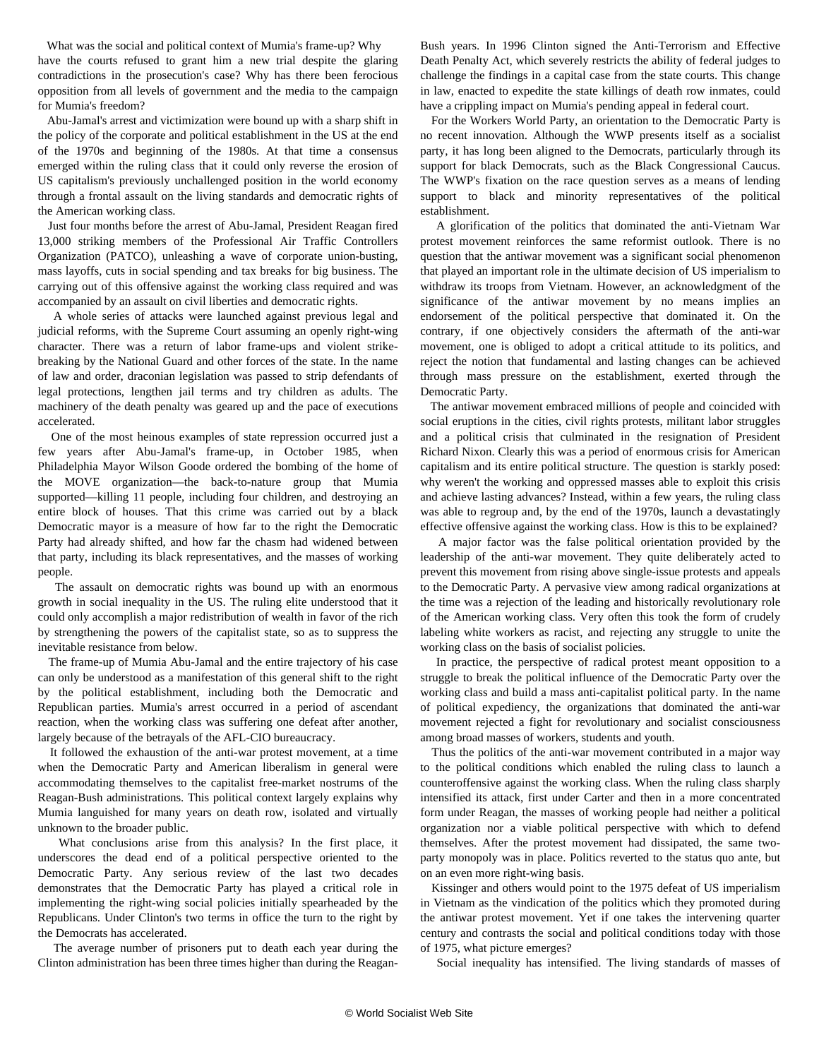What was the social and political context of Mumia's frame-up? Why have the courts refused to grant him a new trial despite the glaring contradictions in the prosecution's case? Why has there been ferocious opposition from all levels of government and the media to the campaign for Mumia's freedom?

 Abu-Jamal's arrest and victimization were bound up with a sharp shift in the policy of the corporate and political establishment in the US at the end of the 1970s and beginning of the 1980s. At that time a consensus emerged within the ruling class that it could only reverse the erosion of US capitalism's previously unchallenged position in the world economy through a frontal assault on the living standards and democratic rights of the American working class.

 Just four months before the arrest of Abu-Jamal, President Reagan fired 13,000 striking members of the Professional Air Traffic Controllers Organization (PATCO), unleashing a wave of corporate union-busting, mass layoffs, cuts in social spending and tax breaks for big business. The carrying out of this offensive against the working class required and was accompanied by an assault on civil liberties and democratic rights.

 A whole series of attacks were launched against previous legal and judicial reforms, with the Supreme Court assuming an openly right-wing character. There was a return of labor frame-ups and violent strikebreaking by the National Guard and other forces of the state. In the name of law and order, draconian legislation was passed to strip defendants of legal protections, lengthen jail terms and try children as adults. The machinery of the death penalty was geared up and the pace of executions accelerated.

 One of the most heinous examples of state repression occurred just a few years after Abu-Jamal's frame-up, in October 1985, when Philadelphia Mayor Wilson Goode ordered the bombing of the home of the MOVE organization—the back-to-nature group that Mumia supported—killing 11 people, including four children, and destroying an entire block of houses. That this crime was carried out by a black Democratic mayor is a measure of how far to the right the Democratic Party had already shifted, and how far the chasm had widened between that party, including its black representatives, and the masses of working people.

 The assault on democratic rights was bound up with an enormous growth in social inequality in the US. The ruling elite understood that it could only accomplish a major redistribution of wealth in favor of the rich by strengthening the powers of the capitalist state, so as to suppress the inevitable resistance from below.

 The frame-up of Mumia Abu-Jamal and the entire trajectory of his case can only be understood as a manifestation of this general shift to the right by the political establishment, including both the Democratic and Republican parties. Mumia's arrest occurred in a period of ascendant reaction, when the working class was suffering one defeat after another, largely because of the betrayals of the AFL-CIO bureaucracy.

 It followed the exhaustion of the anti-war protest movement, at a time when the Democratic Party and American liberalism in general were accommodating themselves to the capitalist free-market nostrums of the Reagan-Bush administrations. This political context largely explains why Mumia languished for many years on death row, isolated and virtually unknown to the broader public.

 What conclusions arise from this analysis? In the first place, it underscores the dead end of a political perspective oriented to the Democratic Party. Any serious review of the last two decades demonstrates that the Democratic Party has played a critical role in implementing the right-wing social policies initially spearheaded by the Republicans. Under Clinton's two terms in office the turn to the right by the Democrats has accelerated.

 The average number of prisoners put to death each year during the Clinton administration has been three times higher than during the ReaganBush years. In 1996 Clinton signed the Anti-Terrorism and Effective Death Penalty Act, which severely restricts the ability of federal judges to challenge the findings in a capital case from the state courts. This change in law, enacted to expedite the state killings of death row inmates, could have a crippling impact on Mumia's pending appeal in federal court.

 For the Workers World Party, an orientation to the Democratic Party is no recent innovation. Although the WWP presents itself as a socialist party, it has long been aligned to the Democrats, particularly through its support for black Democrats, such as the Black Congressional Caucus. The WWP's fixation on the race question serves as a means of lending support to black and minority representatives of the political establishment.

 A glorification of the politics that dominated the anti-Vietnam War protest movement reinforces the same reformist outlook. There is no question that the antiwar movement was a significant social phenomenon that played an important role in the ultimate decision of US imperialism to withdraw its troops from Vietnam. However, an acknowledgment of the significance of the antiwar movement by no means implies an endorsement of the political perspective that dominated it. On the contrary, if one objectively considers the aftermath of the anti-war movement, one is obliged to adopt a critical attitude to its politics, and reject the notion that fundamental and lasting changes can be achieved through mass pressure on the establishment, exerted through the Democratic Party.

 The antiwar movement embraced millions of people and coincided with social eruptions in the cities, civil rights protests, militant labor struggles and a political crisis that culminated in the resignation of President Richard Nixon. Clearly this was a period of enormous crisis for American capitalism and its entire political structure. The question is starkly posed: why weren't the working and oppressed masses able to exploit this crisis and achieve lasting advances? Instead, within a few years, the ruling class was able to regroup and, by the end of the 1970s, launch a devastatingly effective offensive against the working class. How is this to be explained?

 A major factor was the false political orientation provided by the leadership of the anti-war movement. They quite deliberately acted to prevent this movement from rising above single-issue protests and appeals to the Democratic Party. A pervasive view among radical organizations at the time was a rejection of the leading and historically revolutionary role of the American working class. Very often this took the form of crudely labeling white workers as racist, and rejecting any struggle to unite the working class on the basis of socialist policies.

 In practice, the perspective of radical protest meant opposition to a struggle to break the political influence of the Democratic Party over the working class and build a mass anti-capitalist political party. In the name of political expediency, the organizations that dominated the anti-war movement rejected a fight for revolutionary and socialist consciousness among broad masses of workers, students and youth.

 Thus the politics of the anti-war movement contributed in a major way to the political conditions which enabled the ruling class to launch a counteroffensive against the working class. When the ruling class sharply intensified its attack, first under Carter and then in a more concentrated form under Reagan, the masses of working people had neither a political organization nor a viable political perspective with which to defend themselves. After the protest movement had dissipated, the same twoparty monopoly was in place. Politics reverted to the status quo ante, but on an even more right-wing basis.

 Kissinger and others would point to the 1975 defeat of US imperialism in Vietnam as the vindication of the politics which they promoted during the antiwar protest movement. Yet if one takes the intervening quarter century and contrasts the social and political conditions today with those of 1975, what picture emerges?

Social inequality has intensified. The living standards of masses of